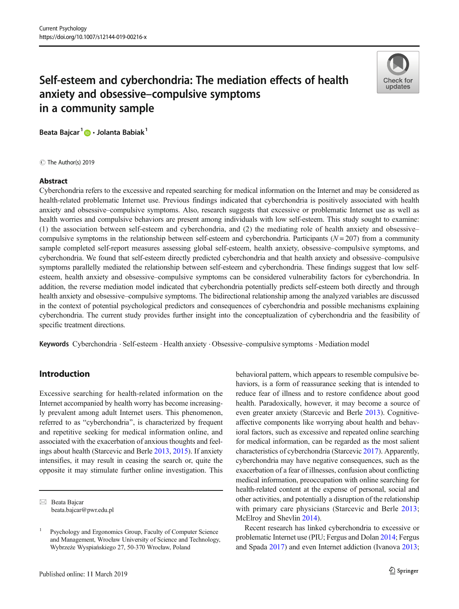

# Self-esteem and cyberchondria: The mediation effects of health anxiety and obsessive–compulsive symptoms in a community sample

Beata Bajcar<sup>1</sup> D · Jolanta Babiak<sup>1</sup>

C The Author(s) 2019

## Abstract

Cyberchondria refers to the excessive and repeated searching for medical information on the Internet and may be considered as health-related problematic Internet use. Previous findings indicated that cyberchondria is positively associated with health anxiety and obsessive–compulsive symptoms. Also, research suggests that excessive or problematic Internet use as well as health worries and compulsive behaviors are present among individuals with low self-esteem. This study sought to examine: (1) the association between self-esteem and cyberchondria, and (2) the mediating role of health anxiety and obsessive– compulsive symptoms in the relationship between self-esteem and cyberchondria. Participants  $(N = 207)$  from a community sample completed self-report measures assessing global self-esteem, health anxiety, obsessive–compulsive symptoms, and cyberchondria. We found that self-esteem directly predicted cyberchondria and that health anxiety and obsessive–compulsive symptoms parallelly mediated the relationship between self-esteem and cyberchondria. These findings suggest that low selfesteem, health anxiety and obsessive–compulsive symptoms can be considered vulnerability factors for cyberchondria. In addition, the reverse mediation model indicated that cyberchondria potentially predicts self-esteem both directly and through health anxiety and obsessive–compulsive symptoms. The bidirectional relationship among the analyzed variables are discussed in the context of potential psychological predictors and consequences of cyberchondria and possible mechanisms explaining cyberchondria. The current study provides further insight into the conceptualization of cyberchondria and the feasibility of specific treatment directions.

Keywords Cyberchondria . Self-esteem . Health anxiety . Obsessive–compulsive symptoms . Mediation model

# Introduction

Excessive searching for health-related information on the Internet accompanied by health worry has become increasingly prevalent among adult Internet users. This phenomenon, referred to as "cyberchondria", is characterized by frequent and repetitive seeking for medical information online, and associated with the exacerbation of anxious thoughts and feelings about health (Starcevic and Berle [2013,](#page-10-0) [2015](#page-10-0)). If anxiety intensifies, it may result in ceasing the search or, quite the opposite it may stimulate further online investigation. This behavioral pattern, which appears to resemble compulsive behaviors, is a form of reassurance seeking that is intended to reduce fear of illness and to restore confidence about good health. Paradoxically, however, it may become a source of even greater anxiety (Starcevic and Berle [2013\)](#page-10-0). Cognitiveaffective components like worrying about health and behavioral factors, such as excessive and repeated online searching for medical information, can be regarded as the most salient characteristics of cyberchondria (Starcevic [2017](#page-10-0)). Apparently, cyberchondria may have negative consequences, such as the exacerbation of a fear of illnesses, confusion about conflicting medical information, preoccupation with online searching for health-related content at the expense of personal, social and other activities, and potentially a disruption of the relationship with primary care physicians (Starcevic and Berle [2013;](#page-10-0) McElroy and Shevlin [2014\)](#page-9-0).

Recent research has linked cyberchondria to excessive or problematic Internet use (PIU; Fergus and Dolan [2014](#page-9-0); Fergus and Spada [2017](#page-9-0)) and even Internet addiction (Ivanova [2013;](#page-9-0)

 $\boxtimes$  Beata Bajcar [beata.bajcar@pwr.edu.pl](mailto:beata.bajcar@pwr.edu.pl)

<sup>1</sup> Psychology and Ergonomics Group, Faculty of Computer Science and Management, Wrocław University of Science and Technology, Wybrzeże Wyspiańskiego 27, 50-370 Wrocław, Poland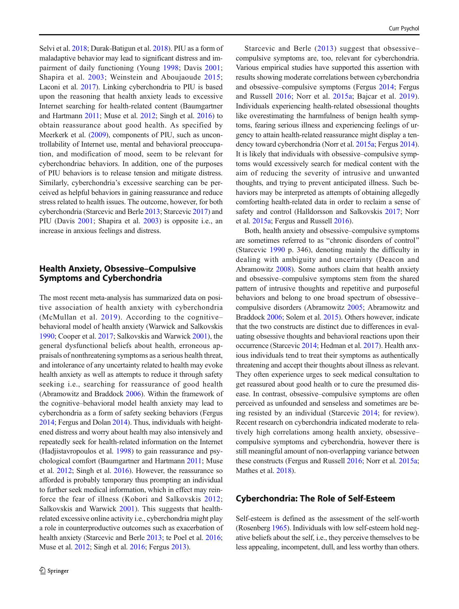Selvi et al. [2018;](#page-10-0) Durak-Batigun et al. [2018](#page-8-0)). PIU as a form of maladaptive behavior may lead to significant distress and impairment of daily functioning (Young [1998;](#page-11-0) Davis [2001](#page-8-0); Shapira et al. [2003;](#page-10-0) Weinstein and Aboujaoude [2015](#page-10-0); Laconi et al. [2017](#page-9-0)). Linking cyberchondria to PIU is based upon the reasoning that health anxiety leads to excessive Internet searching for health-related content (Baumgartner and Hartmann [2011](#page-8-0); Muse et al. [2012;](#page-9-0) Singh et al. [2016](#page-10-0)) to obtain reassurance about good health. As specified by Meerkerk et al. [\(2009\)](#page-9-0), components of PIU, such as uncontrollability of Internet use, mental and behavioral preoccupation, and modification of mood, seem to be relevant for cyberchondriac behaviors. In addition, one of the purposes of PIU behaviors is to release tension and mitigate distress. Similarly, cyberchondria's excessive searching can be perceived as helpful behaviors in gaining reassurance and reduce stress related to health issues. The outcome, however, for both cyberchondria (Starcevic and Berle [2013;](#page-10-0) Starcevic [2017\)](#page-10-0) and PIU (Davis [2001](#page-8-0); Shapira et al. [2003](#page-10-0)) is opposite i.e., an increase in anxious feelings and distress.

# Health Anxiety, Obsessive–Compulsive Symptoms and Cyberchondria

The most recent meta-analysis has summarized data on positive association of health anxiety with cyberchondria (McMullan et al.  $2019$ ). According to the cognitive– behavioral model of health anxiety (Warwick and Salkovskis [1990;](#page-10-0) Cooper et al. [2017](#page-8-0); Salkovskis and Warwick [2001](#page-10-0)), the general dysfunctional beliefs about health, erroneous appraisals of nonthreatening symptoms as a serious health threat, and intolerance of any uncertainty related to health may evoke health anxiety as well as attempts to reduce it through safety seeking i.e., searching for reassurance of good health (Abramowitz and Braddock [2006\)](#page-8-0). Within the framework of the cognitive–behavioral model health anxiety may lead to cyberchondria as a form of safety seeking behaviors (Fergus [2014;](#page-9-0) Fergus and Dolan [2014\)](#page-9-0). Thus, individuals with heightened distress and worry about health may also intensively and repeatedly seek for health-related information on the Internet (Hadjistavropoulos et al. [1998](#page-9-0)) to gain reassurance and psychological comfort (Baumgartner and Hartmann [2011;](#page-8-0) Muse et al. [2012](#page-9-0); Singh et al. [2016](#page-10-0)). However, the reassurance so afforded is probably temporary thus prompting an individual to further seek medical information, which in effect may reinforce the fear of illness (Kobori and Salkovskis [2012](#page-9-0); Salkovskis and Warwick [2001](#page-10-0)). This suggests that healthrelated excessive online activity i.e., cyberchondria might play a role in counterproductive outcomes such as exacerbation of health anxiety (Starcevic and Berle [2013](#page-10-0); te Poel et al. [2016](#page-10-0); Muse et al. [2012](#page-9-0); Singh et al. [2016](#page-10-0); Fergus [2013\)](#page-9-0).

Starcevic and Berle ([2013](#page-10-0)) suggest that obsessive– compulsive symptoms are, too, relevant for cyberchondria. Various empirical studies have supported this assertion with results showing moderate correlations between cyberchondria and obsessive–compulsive symptoms (Fergus [2014](#page-9-0); Fergus and Russell [2016](#page-9-0); Norr et al. [2015a;](#page-9-0) Bajcar et al. [2019](#page-8-0)). Individuals experiencing health-related obsessional thoughts like overestimating the harmfulness of benign health symptoms, fearing serious illness and experiencing feelings of urgency to attain health-related reassurance might display a tendency toward cyberchondria (Norr et al. [2015a;](#page-9-0) Fergus [2014\)](#page-9-0). It is likely that individuals with obsessive–compulsive symptoms would excessively search for medical content with the aim of reducing the severity of intrusive and unwanted thoughts, and trying to prevent anticipated illness. Such behaviors may be interpreted as attempts of obtaining allegedly comforting health-related data in order to reclaim a sense of safety and control (Halldorsson and Salkovskis [2017](#page-9-0); Norr et al. [2015a](#page-9-0); Fergus and Russell [2016](#page-9-0)).

Both, health anxiety and obsessive–compulsive symptoms are sometimes referred to as "chronic disorders of control" (Starcevic [1990](#page-10-0) p. 346), denoting mainly the difficulty in dealing with ambiguity and uncertainty (Deacon and Abramowitz [2008\)](#page-8-0). Some authors claim that health anxiety and obsessive–compulsive symptoms stem from the shared pattern of intrusive thoughts and repetitive and purposeful behaviors and belong to one broad spectrum of obsessive– compulsive disorders (Abramowitz [2005;](#page-8-0) Abramowitz and Braddock [2006](#page-8-0); Solem et al. [2015](#page-10-0)). Others however, indicate that the two constructs are distinct due to differences in evaluating obsessive thoughts and behavioral reactions upon their occurrence (Starcevic [2014](#page-10-0); Hedman et al. [2017](#page-9-0)). Health anxious individuals tend to treat their symptoms as authentically threatening and accept their thoughts about illness as relevant. They often experience urges to seek medical consultation to get reassured about good health or to cure the presumed disease. In contrast, obsessive–compulsive symptoms are often perceived as unfounded and senseless and sometimes are being resisted by an individual (Starcevic [2014](#page-10-0); for review). Recent research on cyberchondria indicated moderate to relatively high correlations among health anxiety, obsessive– compulsive symptoms and cyberchondria, however there is still meaningful amount of non-overlapping variance between these constructs (Fergus and Russell [2016;](#page-9-0) Norr et al. [2015a;](#page-9-0) Mathes et al. [2018](#page-9-0)).

## Cyberchondria: The Role of Self-Esteem

Self-esteem is defined as the assessment of the self-worth (Rosenberg [1965](#page-10-0)). Individuals with low self-esteem hold negative beliefs about the self, i.e., they perceive themselves to be less appealing, incompetent, dull, and less worthy than others.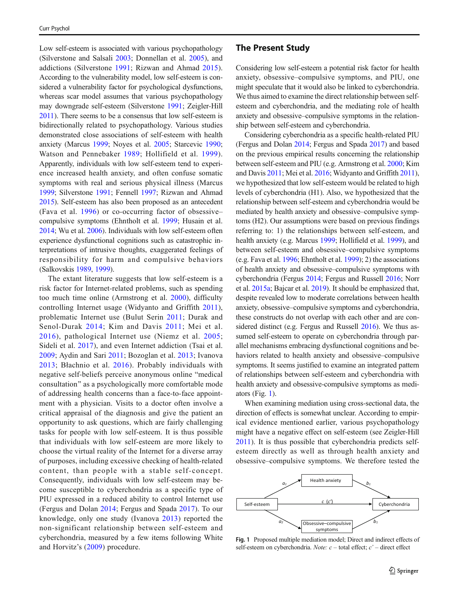<span id="page-2-0"></span>Low self-esteem is associated with various psychopathology (Silverstone and Salsali [2003](#page-10-0); Donnellan et al. [2005](#page-8-0)), and addictions (Silverstone [1991;](#page-10-0) Rizwan and Ahmad [2015](#page-10-0)). According to the vulnerability model, low self-esteem is considered a vulnerability factor for psychological dysfunctions, whereas scar model assumes that various psychopathology may downgrade self-esteem (Silverstone [1991;](#page-10-0) Zeigler-Hill [2011](#page-11-0)). There seems to be a consensus that low self-esteem is bidirectionally related to psychopathology. Various studies demonstrated close associations of self-esteem with health anxiety (Marcus [1999](#page-9-0); Noyes et al. [2005;](#page-9-0) Starcevic [1990](#page-10-0); Watson and Pennebaker [1989;](#page-10-0) Hollifield et al. [1999](#page-9-0)). Apparently, individuals with low self-esteem tend to experience increased health anxiety, and often confuse somatic symptoms with real and serious physical illness (Marcus [1999;](#page-9-0) Silverstone [1991;](#page-10-0) Fennell [1997;](#page-9-0) Rizwan and Ahmad [2015\)](#page-10-0). Self-esteem has also been proposed as an antecedent (Fava et al. [1996](#page-9-0)) or co-occurring factor of obsessive– compulsive symptoms (Ehntholt et al. [1999](#page-9-0); Husain et al. [2014;](#page-9-0) Wu et al. [2006\)](#page-10-0). Individuals with low self-esteem often experience dysfunctional cognitions such as catastrophic interpretations of intrusive thoughts, exaggerated feelings of responsibility for harm and compulsive behaviors (Salkovskis [1989](#page-10-0), [1999\)](#page-10-0).

The extant literature suggests that low self-esteem is a risk factor for Internet-related problems, such as spending too much time online (Armstrong et al. [2000\)](#page-8-0), difficulty controlling Internet usage (Widyanto and Griffith [2011](#page-10-0)), problematic Internet use (Bulut Serin [2011](#page-8-0); Durak and Senol-Durak [2014;](#page-8-0) Kim and Davis [2011;](#page-9-0) Mei et al. [2016\)](#page-9-0), pathological Internet use (Niemz et al. [2005](#page-9-0); Sideli et al. [2017](#page-10-0)), and even Internet addiction (Tsai et al. [2009](#page-10-0); Aydin and Sari [2011;](#page-8-0) Bozoglan et al. [2013](#page-8-0); Ivanova [2013;](#page-9-0) Błachnio et al. [2016\)](#page-8-0). Probably individuals with negative self-beliefs perceive anonymous online "medical consultation" as a psychologically more comfortable mode of addressing health concerns than a face-to-face appointment with a physician. Visits to a doctor often involve a critical appraisal of the diagnosis and give the patient an opportunity to ask questions, which are fairly challenging tasks for people with low self-esteem. It is thus possible that individuals with low self-esteem are more likely to choose the virtual reality of the Internet for a diverse array of purposes, including excessive checking of health-related content, than people with a stable self-concept. Consequently, individuals with low self-esteem may become susceptible to cyberchondria as a specific type of PIU expressed in a reduced ability to control Internet use (Fergus and Dolan [2014;](#page-9-0) Fergus and Spada [2017](#page-9-0)). To our knowledge, only one study (Ivanova [2013](#page-9-0)) reported the non-significant relationship between self-esteem and cyberchondria, measured by a few items following White and Horvitz's ([2009\)](#page-10-0) procedure.

Considering low self-esteem a potential risk factor for health anxiety, obsessive–compulsive symptoms, and PIU, one might speculate that it would also be linked to cyberchondria. We thus aimed to examine the direct relationship between selfesteem and cyberchondria, and the mediating role of health anxiety and obsessive–compulsive symptoms in the relationship between self-esteem and cyberchondria.

Considering cyberchondria as a specific health-related PIU (Fergus and Dolan [2014](#page-9-0); Fergus and Spada [2017](#page-9-0)) and based on the previous empirical results concerning the relationship between self-esteem and PIU (e.g. Armstrong et al. [2000](#page-8-0); Kim and Davis [2011;](#page-9-0) Mei et al. [2016;](#page-9-0) Widyanto and Griffith [2011\)](#page-10-0), we hypothesized that low self-esteem would be related to high levels of cyberchondria (H1). Also, we hypothesized that the relationship between self-esteem and cyberchondria would be mediated by health anxiety and obsessive–compulsive symptoms (H2). Our assumptions were based on previous findings referring to: 1) the relationships between self-esteem, and health anxiety (e.g. Marcus [1999;](#page-9-0) Hollifield et al. [1999\)](#page-9-0), and between self-esteem and obsessive–compulsive symptoms (e.g. Fava et al. [1996](#page-9-0); Ehntholt et al. [1999\)](#page-9-0); 2) the associations of health anxiety and obsessive–compulsive symptoms with cyberchondria (Fergus [2014;](#page-9-0) Fergus and Russell [2016](#page-9-0); Norr et al. [2015a;](#page-9-0) Bajcar et al. [2019\)](#page-8-0). It should be emphasized that, despite revealed low to moderate correlations between health anxiety, obsessive–compulsive symptoms and cyberchondria, these constructs do not overlap with each other and are considered distinct (e.g. Fergus and Russell [2016](#page-9-0)). We thus assumed self-esteem to operate on cyberchondria through parallel mechanisms embracing dysfunctional cognitions and behaviors related to health anxiety and obsessive–compulsive symptoms. It seems justified to examine an integrated pattern of relationships between self-esteem and cyberchondria with health anxiety and obsessive-compulsive symptoms as mediators (Fig. 1).

When examining mediation using cross-sectional data, the direction of effects is somewhat unclear. According to empirical evidence mentioned earlier, various psychopathology might have a negative effect on self-esteem (see Zeigler-Hill [2011\)](#page-11-0). It is thus possible that cyberchondria predicts selfesteem directly as well as through health anxiety and obsessive–compulsive symptoms. We therefore tested the



Fig. 1 Proposed multiple mediation model; Direct and indirect effects of self-esteem on cyberchondria. Note:  $c$  – total effect;  $c'$  – direct effect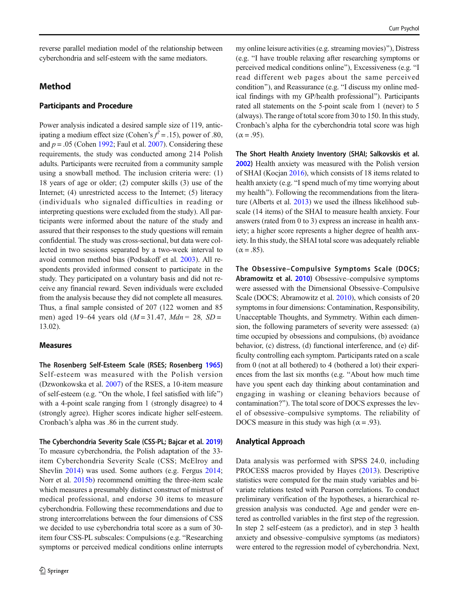reverse parallel mediation model of the relationship between cyberchondria and self-esteem with the same mediators.

# Method

## Participants and Procedure

Power analysis indicated a desired sample size of 119, anticipating a medium effect size (Cohen's  $f^2 = .15$ ), power of .80, and  $p = .05$  (Cohen [1992;](#page-8-0) Faul et al. [2007\)](#page-9-0). Considering these requirements, the study was conducted among 214 Polish adults. Participants were recruited from a community sample using a snowball method. The inclusion criteria were: (1) 18 years of age or older; (2) computer skills (3) use of the Internet; (4) unrestricted access to the Internet; (5) literacy (individuals who signaled difficulties in reading or interpreting questions were excluded from the study). All participants were informed about the nature of the study and assured that their responses to the study questions will remain confidential. The study was cross-sectional, but data were collected in two sessions separated by a two-week interval to avoid common method bias (Podsakoff et al. [2003\)](#page-10-0). All respondents provided informed consent to participate in the study. They participated on a voluntary basis and did not receive any financial reward. Seven individuals were excluded from the analysis because they did not complete all measures. Thus, a final sample consisted of 207 (122 women and 85 men) aged 19–64 years old ( $M = 31.47$ ,  $Mdn = 28$ ,  $SD =$ 13.02).

#### Measures

The Rosenberg Self-Esteem Scale (RSES; Rosenberg [1965](#page-10-0)) Self-esteem was measured with the Polish version (Dzwonkowska et al. [2007\)](#page-8-0) of the RSES, a 10-item measure of self-esteem (e.g. "On the whole, I feel satisfied with life") with a 4-point scale ranging from 1 (strongly disagree) to 4 (strongly agree). Higher scores indicate higher self-esteem. Cronbach's alpha was .86 in the current study.

The Cyberchondria Severity Scale (CSS-PL; Bajcar et al. [2019](#page-8-0)) To measure cyberchondria, the Polish adaptation of the 33 item Cyberchondria Severity Scale (CSS; McElroy and Shevlin [2014\)](#page-9-0) was used. Some authors (e.g. Fergus [2014](#page-9-0); Norr et al. [2015b](#page-9-0)) recommend omitting the three-item scale which measures a presumably distinct construct of mistrust of medical professional, and endorse 30 items to measure cyberchondria. Following these recommendations and due to strong intercorrelations between the four dimensions of CSS we decided to use cyberchondria total score as a sum of 30 item four CSS-PL subscales: Compulsions (e.g. "Researching symptoms or perceived medical conditions online interrupts

my online leisure activities (e.g. streaming movies)^), Distress (e.g. "I have trouble relaxing after researching symptoms or perceived medical conditions online"), Excessiveness (e.g. "I read different web pages about the same perceived condition"), and Reassurance (e.g. "I discuss my online medical findings with my GP/health professional^). Participants rated all statements on the 5-point scale from 1 (never) to 5 (always). The range of total score from 30 to 150. In this study, Cronbach's alpha for the cyberchondria total score was high  $(\alpha = .95)$ .

The Short Health Anxiety Inventory (SHAI; Salkovskis et al. [2002](#page-10-0)) Health anxiety was measured with the Polish version of SHAI (Kocjan [2016\)](#page-9-0), which consists of 18 items related to health anxiety (e.g. "I spend much of my time worrying about my health"). Following the recommendations from the literature (Alberts et al. [2013\)](#page-8-0) we used the illness likelihood subscale (14 items) of the SHAI to measure health anxiety. Four answers (rated from 0 to 3) express an increase in health anxiety; a higher score represents a higher degree of health anxiety. In this study, the SHAI total score was adequately reliable  $(\alpha = .85)$ .

The Obsessive–Compulsive Symptoms Scale (DOCS; Abramowitz et al. [2010\)](#page-8-0) Obsessive–compulsive symptoms were assessed with the Dimensional Obsessive–Compulsive Scale (DOCS; Abramowitz et al. [2010](#page-8-0)), which consists of 20 symptoms in four dimensions: Contamination, Responsibility, Unacceptable Thoughts, and Symmetry. Within each dimension, the following parameters of severity were assessed: (a) time occupied by obsessions and compulsions, (b) avoidance behavior, (c) distress, (d) functional interference, and (e) difficulty controlling each symptom. Participants rated on a scale from 0 (not at all bothered) to 4 (bothered a lot) their experiences from the last six months (e.g. "About how much time have you spent each day thinking about contamination and engaging in washing or cleaning behaviors because of contamination?^). The total score of DOCS expresses the level of obsessive–compulsive symptoms. The reliability of DOCS measure in this study was high ( $\alpha$  = .93).

#### Analytical Approach

Data analysis was performed with SPSS 24.0, including PROCESS macros provided by Hayes [\(2013](#page-9-0)). Descriptive statistics were computed for the main study variables and bivariate relations tested with Pearson correlations. To conduct preliminary verification of the hypotheses, a hierarchical regression analysis was conducted. Age and gender were entered as controlled variables in the first step of the regression. In step 2 self-esteem (as a predictor), and in step 3 health anxiety and obsessive–compulsive symptoms (as mediators) were entered to the regression model of cyberchondria. Next,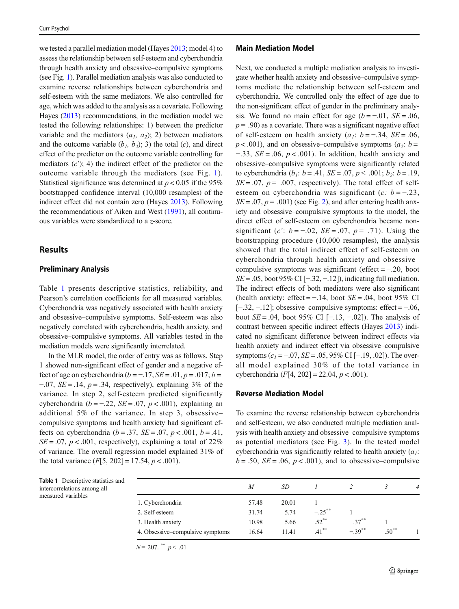we tested a parallel mediation model (Hayes [2013;](#page-9-0) model 4) to assess the relationship between self-esteem and cyberchondria through health anxiety and obsessive–compulsive symptoms (see Fig. [1](#page-2-0)). Parallel mediation analysis was also conducted to examine reverse relationships between cyberchondria and self-esteem with the same mediators. We also controlled for age, which was added to the analysis as a covariate. Following Hayes ([2013](#page-9-0)) recommendations, in the mediation model we tested the following relationships: 1) between the predictor variable and the mediators  $(a_1, a_2)$ ; 2) between mediators and the outcome variable  $(b_1, b_2)$ ; 3) the total  $(c)$ , and direct effect of the predictor on the outcome variable controlling for mediators  $(c')$ ; 4) the indirect effect of the predictor on the outcome variable through the mediators (see Fig. [1](#page-2-0)). Statistical significance was determined at  $p < 0.05$  if the 95% bootstrapped confidence interval (10,000 resamples) of the indirect effect did not contain zero (Hayes [2013](#page-9-0)). Following the recommendations of Aiken and West ([1991](#page-8-0)), all continuous variables were standardized to a z-score.

## Results

#### Preliminary Analysis

Table 1 Descriptive statistics and intercorrelations among all measured variables

Table 1 presents descriptive statistics, reliability, and Pearson's correlation coefficients for all measured variables. Cyberchondria was negatively associated with health anxiety and obsessive–compulsive symptoms. Self-esteem was also negatively correlated with cyberchondria, health anxiety, and obsessive–compulsive symptoms. All variables tested in the mediation models were significantly interrelated.

In the MLR model, the order of entry was as follows. Step 1 showed non-significant effect of gender and a negative effect of age on cyberchondria ( $b = -17$ ,  $SE = 0.01$ ,  $p = 0.017$ ;  $b =$  $-0.07$ , SE = .14, p = .34, respectively), explaining 3% of the variance. In step 2, self-esteem predicted significantly cyberchondria ( $b = -0.22$ ,  $SE = 0.07$ ,  $p < 0.001$ ), explaining an additional 5% of the variance. In step 3, obsessive– compulsive symptoms and health anxiety had significant effects on cyberchondria ( $b = .37$ ,  $SE = .07$ ,  $p < .001$ ,  $b = .41$ ,  $SE = .07$ ,  $p < .001$ , respectively), explaining a total of 22% of variance. The overall regression model explained 31% of the total variance  $(F[5, 202] = 17.54, p < .001)$ .

## Main Mediation Model

Next, we conducted a multiple mediation analysis to investigate whether health anxiety and obsessive–compulsive symptoms mediate the relationship between self-esteem and cyberchondria. We controlled only the effect of age due to the non-significant effect of gender in the preliminary analysis. We found no main effect for age  $(b = -0.01, SE = 0.06,$  $p = .90$ ) as a covariate. There was a significant negative effect of self-esteem on health anxiety ( $a_1$ : b = -.34, SE = .06,  $p < .001$ ), and on obsessive–compulsive symptoms ( $a_2$ :  $b =$  $-0.33$ ,  $SE = 0.06$ ,  $p < 0.001$ ). In addition, health anxiety and obsessive–compulsive symptoms were significantly related to cyberchondria (*b<sub>1</sub>*:  $b = .41$ ,  $SE = .07$ ,  $p < .001$ ;  $b_2$ :  $b = .19$ ,  $SE = .07$ ,  $p = .007$ , respectively). The total effect of selfesteem on cyberchondria was significant (c:  $b = -0.23$ ,  $SE = .07$ ,  $p = .001$ ) (see Fig. [2\)](#page-5-0), and after entering health anxiety and obsessive–compulsive symptoms to the model, the direct effect of self-esteem on cyberchondria became nonsignificant (c':  $b = -.02$ ,  $SE = .07$ ,  $p = .71$ ). Using the bootstrapping procedure (10,000 resamples), the analysis showed that the total indirect effect of self-esteem on cyberchondria through health anxiety and obsessive– compulsive symptoms was significant (effect  $=$  -.20, boot  $SE = .05$ , boot 95% CI [−.32, −.12]), indicating full mediation. The indirect effects of both mediators were also significant (health anxiety: effect =  $-0.14$ , boot  $SE = 0.04$ , boot 95% CI [−.32, −.12]; obsessive–compulsive symptoms: effect = −.06, boot  $SE = .04$ , boot 95% CI [−.13, −.02]). The analysis of contrast between specific indirect effects (Hayes [2013\)](#page-9-0) indicated no significant difference between indirect effects via health anxiety and indirect effect via obsessive–compulsive symptoms  $(c_1 = -0.07, SE = 0.05, 95\% \text{ CI} [-0.19, 0.02]$ . The overall model explained 30% of the total variance in cyberchondria (*F*[4, 202] = 22.04,  $p < .001$ ).

## Reverse Mediation Model

To examine the reverse relationship between cyberchondria and self-esteem, we also conducted multiple mediation analysis with health anxiety and obsessive–compulsive symptoms as potential mediators (see Fig. [3\)](#page-5-0). In the tested model cyberchondria was significantly related to health anxiety  $(a_1)$ :  $b = .50$ ,  $SE = .06$ ,  $p < .001$ ), and to obsessive–compulsive

|                                  | M     | SD    |           |            |          | $\overline{4}$ |
|----------------------------------|-------|-------|-----------|------------|----------|----------------|
|                                  |       |       |           |            |          |                |
| 1. Cyberchondria                 | 57.48 | 20.01 |           |            |          |                |
| 2. Self-esteem                   | 31.74 | 5.74  | $-.25***$ |            |          |                |
| 3. Health anxiety                | 10.98 | 5.66  | $.52***$  | $-.37***$  |          |                |
| 4. Obsessive–compulsive symptoms | 16.64 | 11.41 | $.41***$  | $-39^{**}$ | $.50***$ |                |

 $N = 207.$ \*\*  $p < .01$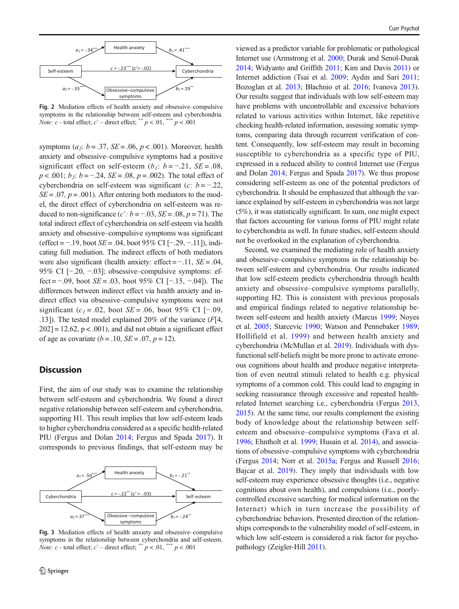<span id="page-5-0"></span>

Fig. 2 Mediation effects of health anxiety and obsessive–compulsive symptoms in the relationship between self-esteem and cyberchondria. *Note:*  $c$  - total effect;  $c'$  – direct effect; \*\*  $p < .01$ , \*\*\*  $p < .001$ 

symptoms ( $a_2$ :  $b = .37$ ,  $SE = .06$ ,  $p < .001$ ). Moreover, health anxiety and obsessive–compulsive symptoms had a positive significant effect on self-esteem (b<sub>1</sub>: b = -.21, SE = .08,  $p < .001$ ;  $b_2$ :  $b = -.24$ ,  $SE = .08$ ,  $p = .002$ ). The total effect of cyberchondria on self-esteem was significant ( $c: b = -0.22$ ,  $SE = .07$ ,  $p = .001$ ). After entering both mediators to the model, the direct effect of cyberchondria on self-esteem was reduced to non-significance (c':  $b = -0.03$ ,  $SE = 0.08$ ,  $p = 71$ ). The total indirect effect of cyberchondria on self-esteem via health anxiety and obsessive–compulsive symptoms was significant (effect = −.19, boot SE = .04, boot 95% CI [−.29, −.11]), indicating full mediation. The indirect effects of both mediators were also significant (health anxiety: effect =  $-11$ ,  $SE = .04$ , 95% CI [−.20, −.03]; obsessive–compulsive symptoms: effect =  $-0.09$ , boot  $SE = 0.03$ , boot 95% CI [ $-0.15, -0.04$ ]). The differences between indirect effect via health anxiety and indirect effect via obsessive–compulsive symptoms were not significant (c<sub>1</sub> = .02, boot SE = .06, boot 95% CI [−.09, .13]). The tested model explained 20% of the variance  $(F[4,$  $202$ ] = 12.62, p < .001), and did not obtain a significant effect of age as covariate  $(b = .10, SE = .07, p = 12)$ .

# **Discussion**

First, the aim of our study was to examine the relationship between self-esteem and cyberchondria. We found a direct negative relationship between self-esteem and cyberchondria, supporting H1. This result implies that low self-esteem leads to higher cyberchondria considered as a specific health-related PIU (Fergus and Dolan [2014;](#page-9-0) Fergus and Spada [2017\)](#page-9-0). It corresponds to previous findings, that self-esteem may be



Fig. 3 Mediation effects of health anxiety and obsessive–compulsive symptoms in the relationship between cyberchondria and self-esteem. *Note: c* - total effect;  $c'$  – direct effect; \*\*  $p < .01$ , \*\*\*  $p < .001$ 

viewed as a predictor variable for problematic or pathological Internet use (Armstrong et al. [2000;](#page-8-0) Durak and Senol-Durak [2014;](#page-8-0) Widyanto and Griffith [2011](#page-10-0); Kim and Davis [2011\)](#page-9-0) or Internet addiction (Tsai et al. [2009](#page-10-0); Aydin and Sari [2011;](#page-8-0) Bozoglan et al. [2013](#page-8-0); Błachnio et al. [2016;](#page-8-0) Ivanova [2013\)](#page-9-0). Our results suggest that individuals with low self-esteem may have problems with uncontrollable and excessive behaviors related to various activities within Internet, like repetitive checking health-related information, assessing somatic symptoms, comparing data through recurrent verification of content. Consequently, low self-esteem may result in becoming susceptible to cyberchondria as a specific type of PIU, expressed in a reduced ability to control Internet use (Fergus and Dolan [2014;](#page-9-0) Fergus and Spada [2017](#page-9-0)). We thus propose considering self-esteem as one of the potential predictors of cyberchondria. It should be emphasized that although the variance explained by self-esteem in cyberchondria was not large (5%), it was statistically significant. In sum, one might expect that factors accounting for various forms of PIU might relate to cyberchondria as well. In future studies, self-esteem should not be overlooked in the explanation of cyberchondria.

Second, we examined the mediating role of health anxiety and obsessive–compulsive symptoms in the relationship between self-esteem and cyberchondria. Our results indicated that low self-esteem predicts cyberchondria through health anxiety and obsessive–compulsive symptoms parallelly, supporting H2. This is consistent with previous proposals and empirical findings related to negative relationship between self-esteem and health anxiety (Marcus [1999;](#page-9-0) Noyes et al. [2005;](#page-9-0) Starcevic [1990](#page-10-0); Watson and Pennebaker [1989;](#page-10-0) Hollifield et al. [1999\)](#page-9-0) and between health anxiety and cyberchondria (McMullan et al. [2019\)](#page-9-0). Individuals with dysfunctional self-beliefs might be more prone to activate erroneous cognitions about health and produce negative interpretation of even neutral stimuli related to health e.g. physical symptoms of a common cold. This could lead to engaging in seeking reassurance through excessive and repeated healthrelated Internet searching i.e., cyberchondria (Fergus [2013,](#page-9-0) [2015\)](#page-9-0). At the same time, our results complement the existing body of knowledge about the relationship between selfesteem and obsessive–compulsive symptoms (Fava et al. [1996;](#page-9-0) Ehntholt et al. [1999;](#page-9-0) Husain et al. [2014\)](#page-9-0), and associations of obsessive–compulsive symptoms with cyberchondria (Fergus [2014](#page-9-0); Norr et al. [2015a](#page-9-0); Fergus and Russell [2016;](#page-9-0) Bajcar et al. [2019](#page-8-0)). They imply that individuals with low self-esteem may experience obsessive thoughts (i.e., negative cognitions about own health), and compulsions (i.e., poorlycontrolled excessive searching for medical information on the Internet) which in turn increase the possibility of cyberchondriac behaviors. Presented direction of the relationships corresponds to the vulnerability model of self-esteem, in which low self-esteem is considered a risk factor for psychopathology (Zeigler-Hill [2011](#page-11-0)).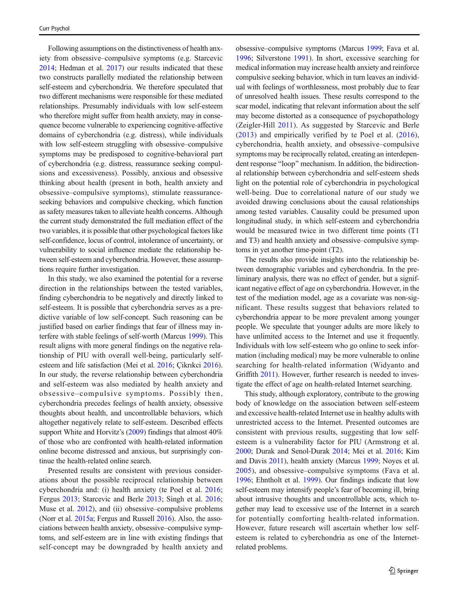Following assumptions on the distinctiveness of health anxiety from obsessive–compulsive symptoms (e.g. Starcevic [2014;](#page-10-0) Hedman et al. [2017](#page-9-0)) our results indicated that these two constructs parallelly mediated the relationship between self-esteem and cyberchondria. We therefore speculated that two different mechanisms were responsible for these mediated relationships. Presumably individuals with low self-esteem who therefore might suffer from health anxiety, may in consequence become vulnerable to experiencing cognitive-affective domains of cyberchondria (e.g. distress), while individuals with low self-esteem struggling with obsessive–compulsive symptoms may be predisposed to cognitive-behavioral part of cyberchondria (e.g. distress, reassurance seeking compulsions and excessiveness). Possibly, anxious and obsessive thinking about health (present in both, health anxiety and obsessive–compulsive symptoms), stimulate reassuranceseeking behaviors and compulsive checking, which function as safety measures taken to alleviate health concerns. Although the current study demonstrated the full mediation effect of the two variables, it is possible that other psychological factors like self-confidence, locus of control, intolerance of uncertainty, or vulnerability to social influence mediate the relationship between self-esteem and cyberchondria. However, these assumptions require further investigation.

In this study, we also examined the potential for a reverse direction in the relationships between the tested variables, finding cyberchondria to be negatively and directly linked to self-esteem. It is possible that cyberchondria serves as a predictive variable of low self-concept. Such reasoning can be justified based on earlier findings that fear of illness may interfere with stable feelings of self-worth (Marcus [1999\)](#page-9-0). This result aligns with more general findings on the negative relationship of PIU with overall well-being, particularly selfesteem and life satisfaction (Mei et al. [2016;](#page-9-0) Çikrıkci [2016\)](#page-8-0). In our study, the reverse relationship between cyberchondria and self-esteem was also mediated by health anxiety and obsessive–compulsive symptoms. Possibly then, cyberchondria precedes feelings of health anxiety, obsessive thoughts about health, and uncontrollable behaviors, which altogether negatively relate to self-esteem. Described effects support White and Horvitz's ([2009](#page-10-0)) findings that almost 40% of those who are confronted with health-related information online become distressed and anxious, but surprisingly continue the health-related online search.

Presented results are consistent with previous considerations about the possible reciprocal relationship between cyberchondria and: (i) health anxiety (te Poel et al. [2016](#page-10-0); Fergus [2013](#page-9-0); Starcevic and Berle [2013;](#page-10-0) Singh et al. [2016](#page-10-0); Muse et al. [2012\)](#page-9-0), and (ii) obsessive–compulsive problems (Norr et al. [2015a;](#page-9-0) Fergus and Russell [2016\)](#page-9-0). Also, the associations between health anxiety, obsessive–compulsive symptoms, and self-esteem are in line with existing findings that self-concept may be downgraded by health anxiety and obsessive–compulsive symptoms (Marcus [1999](#page-9-0); Fava et al. [1996](#page-9-0); Silverstone [1991](#page-10-0)). In short, excessive searching for medical information may increase health anxiety and reinforce compulsive seeking behavior, which in turn leaves an individual with feelings of worthlessness, most probably due to fear of unresolved health issues. These results correspond to the scar model, indicating that relevant information about the self may become distorted as a consequence of psychopathology (Zeigler-Hill [2011\)](#page-11-0). As suggested by Starcevic and Berle [\(2013\)](#page-10-0) and empirically verified by te Poel et al. ([2016](#page-10-0)), cyberchondria, health anxiety, and obsessive–compulsive symptoms may be reciprocally related, creating an interdependent response "loop" mechanism. In addition, the bidirectional relationship between cyberchondria and self-esteem sheds light on the potential role of cyberchondria in psychological well-being. Due to correlational nature of our study we avoided drawing conclusions about the causal relationships among tested variables. Causality could be presumed upon longitudinal study, in which self-esteem and cyberchondria would be measured twice in two different time points (T1 and T3) and health anxiety and obsessive–compulsive symptoms in yet another time-point (T2).

The results also provide insights into the relationship between demographic variables and cyberchondria. In the preliminary analysis, there was no effect of gender, but a significant negative effect of age on cyberchondria. However, in the test of the mediation model, age as a covariate was non-significant. These results suggest that behaviors related to cyberchondria appear to be more prevalent among younger people. We speculate that younger adults are more likely to have unlimited access to the Internet and use it frequently. Individuals with low self-esteem who go online to seek information (including medical) may be more vulnerable to online searching for health-related information (Widyanto and Griffith [2011](#page-10-0)). However, further research is needed to investigate the effect of age on health-related Internet searching.

This study, although exploratory, contribute to the growing body of knowledge on the association between self-esteem and excessive health-related Internet use in healthy adults with unrestricted access to the Internet. Presented outcomes are consistent with previous results, suggesting that low selfesteem is a vulnerability factor for PIU (Armstrong et al. [2000;](#page-8-0) Durak and Senol-Durak [2014](#page-8-0); Mei et al. [2016](#page-9-0); Kim and Davis [2011\)](#page-9-0), health anxiety (Marcus [1999;](#page-9-0) Noyes et al. [2005\)](#page-9-0), and obsessive–compulsive symptoms (Fava et al. [1996;](#page-9-0) Ehntholt et al. [1999\)](#page-9-0). Our findings indicate that low self-esteem may intensify people's fear of becoming ill, bring about intrusive thoughts and uncontrollable acts, which together may lead to excessive use of the Internet in a search for potentially comforting health-related information. However, future research will ascertain whether low selfesteem is related to cyberchondria as one of the Internetrelated problems.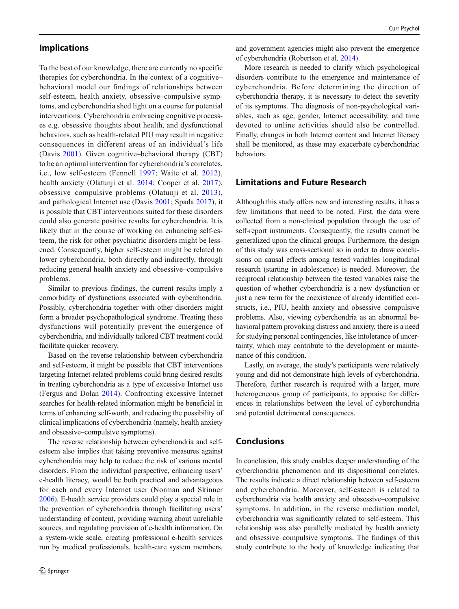# Implications

To the best of our knowledge, there are currently no specific therapies for cyberchondria. In the context of a cognitive– behavioral model our findings of relationships between self-esteem, health anxiety, obsessive–compulsive symptoms, and cyberchondria shed light on a course for potential interventions. Cyberchondria embracing cognitive processes e.g. obsessive thoughts about health, and dysfunctional behaviors, such as health-related PIU may result in negative consequences in different areas of an individual's life (Davis [2001\)](#page-8-0). Given cognitive–behavioral therapy (CBT) to be an optimal intervention for cyberchondria's correlates, i.e., low self-esteem (Fennell [1997;](#page-9-0) Waite et al. [2012](#page-10-0)), health anxiety (Olatunji et al. [2014](#page-10-0); Cooper et al. [2017](#page-8-0)), obsessive–compulsive problems (Olatunji et al. [2013](#page-10-0)), and pathological Internet use (Davis [2001;](#page-8-0) Spada [2017\)](#page-10-0), it is possible that CBT interventions suited for these disorders could also generate positive results for cyberchondria. It is likely that in the course of working on enhancing self-esteem, the risk for other psychiatric disorders might be lessened. Consequently, higher self-esteem might be related to lower cyberchondria, both directly and indirectly, through reducing general health anxiety and obsessive–compulsive problems.

Similar to previous findings, the current results imply a comorbidity of dysfunctions associated with cyberchondria. Possibly, cyberchondria together with other disorders might form a broader psychopathological syndrome. Treating these dysfunctions will potentially prevent the emergence of cyberchondria, and individually tailored CBT treatment could facilitate quicker recovery.

Based on the reverse relationship between cyberchondria and self-esteem, it might be possible that CBT interventions targeting Internet-related problems could bring desired results in treating cyberchondria as a type of excessive Internet use (Fergus and Dolan [2014\)](#page-9-0). Confronting excessive Internet searches for health-related information might be beneficial in terms of enhancing self-worth, and reducing the possibility of clinical implications of cyberchondria (namely, health anxiety and obsessive–compulsive symptoms).

The reverse relationship between cyberchondria and selfesteem also implies that taking preventive measures against cyberchondria may help to reduce the risk of various mental disorders. From the individual perspective, enhancing users' e-health literacy, would be both practical and advantageous for each and every Internet user (Norman and Skinner [2006\)](#page-9-0). E-health service providers could play a special role in the prevention of cyberchondria through facilitating users' understanding of content, providing warning about unreliable sources, and regulating provision of e-health information. On a system-wide scale, creating professional e-health services run by medical professionals, health-care system members, and government agencies might also prevent the emergence of cyberchondria (Robertson et al. [2014\)](#page-10-0).

More research is needed to clarify which psychological disorders contribute to the emergence and maintenance of cyberchondria. Before determining the direction of cyberchondria therapy, it is necessary to detect the severity of its symptoms. The diagnosis of non-psychological variables, such as age, gender, Internet accessibility, and time devoted to online activities should also be controlled. Finally, changes in both Internet content and Internet literacy shall be monitored, as these may exacerbate cyberchondriac behaviors.

## Limitations and Future Research

Although this study offers new and interesting results, it has a few limitations that need to be noted. First, the data were collected from a non-clinical population through the use of self-report instruments. Consequently, the results cannot be generalized upon the clinical groups. Furthermore, the design of this study was cross-sectional so in order to draw conclusions on causal effects among tested variables longitudinal research (starting in adolescence) is needed. Moreover, the reciprocal relationship between the tested variables raise the question of whether cyberchondria is a new dysfunction or just a new term for the coexistence of already identified constructs, i.e., PIU, health anxiety and obsessive–compulsive problems. Also, viewing cyberchondria as an abnormal behavioral pattern provoking distress and anxiety, there is a need for studying personal contingencies, like intolerance of uncertainty, which may contribute to the development or maintenance of this condition.

Lastly, on average, the study's participants were relatively young and did not demonstrate high levels of cyberchondria. Therefore, further research is required with a larger, more heterogeneous group of participants, to appraise for differences in relationships between the level of cyberchondria and potential detrimental consequences.

# Conclusions

In conclusion, this study enables deeper understanding of the cyberchondria phenomenon and its dispositional correlates. The results indicate a direct relationship between self-esteem and cyberchondria. Moreover, self-esteem is related to cyberchondria via health anxiety and obsessive–compulsive symptoms. In addition, in the reverse mediation model, cyberchondria was significantly related to self-esteem. This relationship was also parallelly mediated by health anxiety and obsessive–compulsive symptoms. The findings of this study contribute to the body of knowledge indicating that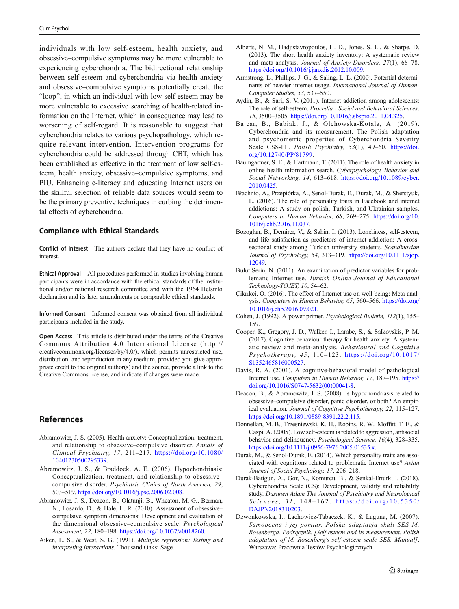<span id="page-8-0"></span>individuals with low self-esteem, health anxiety, and obsessive–compulsive symptoms may be more vulnerable to experiencing cyberchondria. The bidirectional relationship between self-esteem and cyberchondria via health anxiety and obsessive–compulsive symptoms potentially create the "loop", in which an individual with low self-esteem may be more vulnerable to excessive searching of health-related information on the Internet, which in consequence may lead to worsening of self-regard. It is reasonable to suggest that cyberchondria relates to various psychopathology, which require relevant intervention. Intervention programs for cyberchondria could be addressed through CBT, which has been established as effective in the treatment of low self-esteem, health anxiety, obsessive–compulsive symptoms, and PIU. Enhancing e-literacy and educating Internet users on the skillful selection of reliable data sources would seem to be the primary preventive techniques in curbing the detrimental effects of cyberchondria.

#### Compliance with Ethical Standards

Conflict of Interest The authors declare that they have no conflict of interest.

Ethical Approval All procedures performed in studies involving human participants were in accordance with the ethical standards of the institutional and/or national research committee and with the 1964 Helsinki declaration and its later amendments or comparable ethical standards.

Informed Consent Informed consent was obtained from all individual participants included in the study.

Open Access This article is distributed under the terms of the Creative Commons Attribution 4.0 International License (http:// creativecommons.org/licenses/by/4.0/), which permits unrestricted use, distribution, and reproduction in any medium, provided you give appropriate credit to the original author(s) and the source, provide a link to the Creative Commons license, and indicate if changes were made.

## References

- Abramowitz, J. S. (2005). Health anxiety: Conceptualization, treatment, and relationship to obsessive–compulsive disorder. Annals of Clinical Psychiatry, 17, 211–217. [https://doi.org/10.1080/](https://doi.org/10.1080/10401230500295339) [10401230500295339](https://doi.org/10.1080/10401230500295339).
- Abramowitz, J. S., & Braddock, A. E. (2006). Hypochondriasis: Conceptualization, treatment, and relationship to obsessive– compulsive disorder. Psychiatric Clinics of North America, 29, 503–519. [https://doi.org/10.1016/j.psc.2006.02.008.](https://doi.org/10.1016/j.psc.2006.02.008)
- Abramowitz, J. S., Deacon, B., Olatunji, B., Wheaton, M. G., Berman, N., Losardo, D., & Hale, L. R. (2010). Assessment of obsessive– compulsive symptom dimensions: Development and evaluation of the dimensional obsessive–compulsive scale. Psychological Assessment, 22, 180–198. [https://doi.org/10.1037/a0018260.](https://doi.org/10.1037/a0018260)
- Aiken, L. S., & West, S. G. (1991). Multiple regression: Testing and interpreting interactions. Thousand Oaks: Sage.
- Alberts, N. M., Hadjistavropoulos, H. D., Jones, S. L., & Sharpe, D. (2013). The short health anxiety inventory: A systematic review and meta-analysis. Journal of Anxiety Disorders, 27(1), 68–78. <https://doi.org/10.1016/j.janxdis.2012.10.009>.
- Armstrong, L., Phillips, J. G., & Saling, L. L. (2000). Potential determinants of heavier internet usage. International Journal of Human-Computer Studies, 53, 537–550.
- Aydin, B., & Sari, S. V. (2011). Internet addiction among adolescents: The role of self-esteem. Procedia - Social and Behavioral Sciences, 15, 3500–3505. [https://doi.org/10.1016/j.sbspro.2011.04.325.](https://doi.org/10.1016/j.sbspro.2011.04.325)
- Bajcar, B., Babiak, J., & Olchowska-Kotala, A. (2019). Cyberchondria and its measurement. The Polish adaptation and psychometric properties of Cyberchondria Severity Scale CSS-PL. Polish Psychiatry, 53(1), 49-60. [https://doi.](https://doi.org/10.12740/PP/81799) [org/10.12740/PP/81799](https://doi.org/10.12740/PP/81799).
- Baumgartner, S. E., & Hartmann, T. (2011). The role of health anxiety in online health information search. Cyberpsychology, Behavior and Social Networking, 14, 613–618. [https://doi.org/10.1089/cyber.](https://doi.org/10.1089/cyber.2010.0425) [2010.0425](https://doi.org/10.1089/cyber.2010.0425).
- Błachnio, A., Przepiórka, A., Senol-Durak, E., Durak, M., & Sherstyuk, L. (2016). The role of personality traits in Facebook and internet addictions: A study on polish, Turkish, and Ukrainian samples. Computers in Human Behavior, 68, 269–275. [https://doi.org/10.](https://doi.org/10.1016/j.chb.2016.11.037) [1016/j.chb.2016.11.037.](https://doi.org/10.1016/j.chb.2016.11.037)
- Bozoglan, B., Demirer, V., & Sahin, I. (2013). Loneliness, self-esteem, and life satisfaction as predictors of internet addiction: A crosssectional study among Turkish university students. Scandinavian Journal of Psychology, 54, 313–319. [https://doi.org/10.1111/sjop.](https://doi.org/10.1111/sjop.12049) [12049.](https://doi.org/10.1111/sjop.12049)
- Bulut Serin, N. (2011). An examination of predictor variables for problematic Internet use. Turkish Online Journal of Educational Technology-TOJET, 10, 54–62.
- Çikrıkci, O. (2016). The effect of Internet use on well-being: Meta-analysis. Computers in Human Behavior, 65, 560–566. [https://doi.org/](https://doi.org/10.1016/j.chb.2016.09.021) [10.1016/j.chb.2016.09.021](https://doi.org/10.1016/j.chb.2016.09.021).
- Cohen, J. (1992). A power primer. Psychological Bulletin, 112(1), 155– 159.
- Cooper, K., Gregory, J. D., Walker, I., Lambe, S., & Salkovskis, P. M. (2017). Cognitive behaviour therapy for health anxiety: A systematic review and meta-analysis. Behavioural and Cognitive Psychotherapy, 45, 110–123. [https://doi.org/10.1017/](https://doi.org/10.1017/S1352465816000527) [S1352465816000527.](https://doi.org/10.1017/S1352465816000527)
- Davis, R. A. (2001). A cognitive-behavioral model of pathological Internet use. Computers in Human Behavior, 17, 187–195. [https://](https://doi.org/10.1016/S0747-5632(00)00041-8) [doi.org/10.1016/S0747-5632\(00\)00041-8.](https://doi.org/10.1016/S0747-5632(00)00041-8)
- Deacon, B., & Abramowitz, J. S. (2008). Is hypochondriasis related to obsessive–compulsive disorder, panic disorder, or both? An empirical evaluation. Journal of Cognitive Psychotherapy, 22, 115–127. <https://doi.org/10.1891/0889-8391.22.2.115>.
- Donnellan, M. B., Trzesniewski, K. H., Robins, R. W., Moffitt, T. E., & Caspi, A. (2005). Low self-esteem is related to aggression, antisocial behavior and delinquency. Psychological Science, 16(4), 328–335. [https://doi.org/10.1111/j.0956-7976.2005.01535.x.](https://doi.org/10.1111/j.0956-7976.2005.01535.x)
- Durak, M., & Senol-Durak, E. (2014). Which personality traits are associated with cognitions related to problematic Internet use? Asian Journal of Social Psychology, 17, 206–218.
- Durak-Batigun, A., Gor, N., Komurcu, B., & Senkal-Erturk, I. (2018). Cyberchondria Scale (CS): Development, validity and reliability study. Dusunen Adam The Journal of Psychiatry and Neurological Sciences,  $31, 148 - 162$ . [https://doi.org/10.5350/](https://doi.org/10.5350/DAJPN2018310203) [DAJPN2018310203](https://doi.org/10.5350/DAJPN2018310203).
- Dzwonkowska, I., Lachowicz-Tabaczek, K., & Łaguna, M. (2007). Samoocena i jej pomiar. Polska adaptacja skali SES M. Rosenberga. Podręcznik. [Self-esteem and its measurement. Polish adaptation of M. Rosenberg's self-esteem scale SES. Manual]. Warszawa: Pracownia Testów Psychologicznych.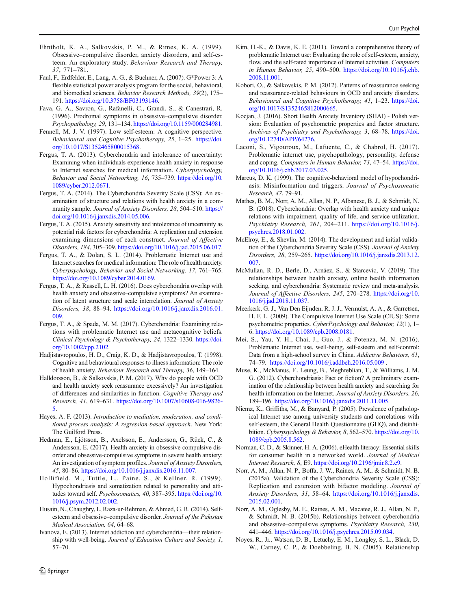- <span id="page-9-0"></span>Ehntholt, K. A., Salkovskis, P. M., & Rimes, K. A. (1999). Obsessive–compulsive disorder, anxiety disorders, and self-esteem: An exploratory study. Behaviour Research and Therapy, 37, 771–781.
- Faul, F., Erdfelder, E., Lang, A. G., & Buchner, A. (2007). G\*Power 3: A flexible statistical power analysis program for the social, behavioral, and biomedical sciences. Behavior Research Methods, 39(2), 175– 191. [https://doi.org/10.3758/BF03193146.](https://doi.org/10.3758/BF03193146)
- Fava, G. A., Savron, G., Rafanelli, C., Grandi, S., & Canestrari, R. (1996). Prodromal symptoms in obsessive–compulsive disorder. Psychopathology, 29, 131–134. <https://doi.org/10.1159/000284981>.
- Fennell, M. J. V. (1997). Low self-esteem: A cognitive perspective. Behavioural and Cognitive Psychotherapy, 25, 1-25. [https://doi.](https://doi.org/10.1017/S1352465800015368) [org/10.1017/S1352465800015368.](https://doi.org/10.1017/S1352465800015368)
- Fergus, T. A. (2013). Cyberchondria and intolerance of uncertainty: Examining when individuals experience health anxiety in response to Internet searches for medical information. Cyberpsychology, Behavior and Social Networking, 16, 735–739. [https://doi.org/10.](https://doi.org/10.1089/cyber.2012.0671) [1089/cyber.2012.0671.](https://doi.org/10.1089/cyber.2012.0671)
- Fergus, T. A. (2014). The Cyberchondria Severity Scale (CSS): An examination of structure and relations with health anxiety in a community sample. Journal of Anxiety Disorders, 28, 504–510. [https://](https://doi.org/10.1016/j.janxdis.2014.05.006) [doi.org/10.1016/j.janxdis.2014.05.006.](https://doi.org/10.1016/j.janxdis.2014.05.006)
- Fergus, T. A. (2015). Anxiety sensitivity and intolerance of uncertainty as potential risk factors for cyberchondria: A replication and extension examining dimensions of each construct. Journal of Affective Disorders, 184, 305–309. <https://doi.org/10.1016/j.jad.2015.06.017>.
- Fergus, T. A., & Dolan, S. L. (2014). Problematic Internet use and Internet searches for medical information: The role of health anxiety. Cyberpsychology, Behavior and Social Networking, 17, 761–765. [https://doi.org/10.1089/cyber.2014.0169.](https://doi.org/10.1089/cyber.2014.0169)
- Fergus, T. A., & Russell, L. H. (2016). Does cyberchondria overlap with health anxiety and obsessive–compulsive symptoms? An examination of latent structure and scale interrelation. Journal of Anxiety Disorders, 38, 88–94. [https://doi.org/10.1016/j.janxdis.2016.01.](https://doi.org/10.1016/j.janxdis.2016.01.009) [009](https://doi.org/10.1016/j.janxdis.2016.01.009).
- Fergus, T. A., & Spada, M. M. (2017). Cyberchondria: Examining relations with problematic Internet use and metacognitive beliefs. Clinical Psychology & Psychotherapy, 24, 1322–1330. [https://doi.](https://doi.org/10.1002/cpp.2102) [org/10.1002/cpp.2102](https://doi.org/10.1002/cpp.2102).
- Hadjistavropoulos, H. D., Craig, K. D., & Hadjistavropoulos, T. (1998). Cognitive and behavioural responses to illness information: The role of health anxiety. Behaviour Research and Therapy, 36, 149–164.
- Halldorsson, B., & Salkovskis, P. M. (2017). Why do people with OCD and health anxiety seek reassurance excessively? An investigation of differences and similarities in function. Cognitive Therapy and Research, 41, 619–631. [https://doi.org/10.1007/s10608-016-9826-](https://doi.org/10.1007/s10608-016-9826-5) [5](https://doi.org/10.1007/s10608-016-9826-5).
- Hayes, A. F. (2013). Introduction to mediation, moderation, and conditional process analysis: A regression-based approach. New York: The Guilford Press.
- Hedman, E., Ljótsson, B., Axelsson, E., Andersson, G., Rück, C., & Andersson, E. (2017). Health anxiety in obsessive compulsive disorder and obsessive-compulsive symptoms in severe health anxiety: An investigation of symptom profiles. Journal of Anxiety Disorders, 45, 80–86. <https://doi.org/10.1016/j.janxdis.2016.11.007>.
- Hollifield, M., Tuttle, L., Paine, S., & Kellner, R. (1999). Hypochondriasis and somatization related to personality and attitudes toward self. Psychosomatics, 40, 387–395. [https://doi.org/10.](https://doi.org/10.1016/j.psym.2012.02.002) [1016/j.psym.2012.02.002](https://doi.org/10.1016/j.psym.2012.02.002).
- Husain, N., Chaughry, I., Raza-ur-Rehman, & Ahmed, G. R. (2014). Selfesteem and obsessive–compulsive disorder. Journal of the Pakistan Medical Association, 64, 64–68.
- Ivanova, E. (2013). Internet addiction and cyberchondria—their relationship with well-being. Journal of Education Culture and Society, 1, 57–70.
- Kobori, O., & Salkovskis, P. M. (2012). Patterns of reassurance seeking and reassurance-related behaviours in OCD and anxiety disorders. Behavioural and Cognitive Psychotherapy, 41, 1–23. [https://doi.](https://doi.org/10.1017/S1352465812000665) [org/10.1017/S1352465812000665.](https://doi.org/10.1017/S1352465812000665)
- Kocjan, J. (2016). Short Health Anxiety Inventory (SHAI) Polish version: Evaluation of psychometric properties and factor structure. Archives of Psychiatry and Psychotherapy, 3, 68–78. [https://doi.](https://doi.org/10.12740/APP/64276) [org/10.12740/APP/64276](https://doi.org/10.12740/APP/64276).
- Laconi, S., Vigouroux, M., Lafuente, C., & Chabrol, H. (2017). Problematic internet use, psychopathology, personality, defense and coping. Computers in Human Behavior, 73, 47–54. [https://doi.](https://doi.org/10.1016/j.chb.2017.03.025) [org/10.1016/j.chb.2017.03.025](https://doi.org/10.1016/j.chb.2017.03.025).
- Marcus, D. K. (1999). The cognitive-behavioral model of hypochondriasis: Misinformation and triggers. Journal of Psychosomatic Research, 47, 79–91.
- Mathes, B. M., Norr, A. M., Allan, N. P., Albanese, B. J., & Schmidt, N. B. (2018). Cyberchondria: Overlap with health anxiety and unique relations with impairment, quality of life, and service utilization. Psychiatry Research, 261, 204–211. [https://doi.org/10.1016/j.](https://doi.org/10.1016/j.psychres.2018.01.002) [psychres.2018.01.002.](https://doi.org/10.1016/j.psychres.2018.01.002)
- McElroy, E., & Shevlin, M. (2014). The development and initial validation of the Cyberchondria Severity Scale (CSS). Journal of Anxiety Disorders, 28, 259–265. [https://doi.org/10.1016/j.janxdis.2013.12.](https://doi.org/10.1016/j.janxdis.2013.12.007) [007.](https://doi.org/10.1016/j.janxdis.2013.12.007)
- McMullan, R. D., Berle, D., Arnáez, S., & Starcevic, V. (2019). The relationships between health anxiety, online health information seeking, and cyberchondria: Systematic review and meta-analysis. Journal of Affective Disorders, 245, 270–278. [https://doi.org/10.](https://doi.org/10.1016/j.jad.2018.11.037) [1016/j.jad.2018.11.037.](https://doi.org/10.1016/j.jad.2018.11.037)
- Meerkerk, G. J., Van Den Eijnden, R. J. J., Vermulst, A. A., & Garretsen, H. F. L. (2009). The Compulsive Internet Use Scale (CIUS): Some psychometric properties. CyberPsychology and Behavior, 12(1), 1– 6. <https://doi.org/10.1089/cpb.2008.0181>.
- Mei, S., Yau, Y. H., Chai, J., Guo, J., & Potenza, M. N. (2016). Problematic Internet use, well-being, self-esteem and self-control: Data from a high-school survey in China. Addictive Behaviors, 61, 74–79. <https://doi.org/10.1016/j.addbeh.2016.05.009> .
- Muse, K., McManus, F., Leung, B., Meghreblian, T., & Williams, J. M. G. (2012). Cyberchondriasis: Fact or fiction? A preliminary examination of the relationship between health anxiety and searching for health information on the Internet. Journal of Anxiety Disorders, 26, 189–196. [https://doi.org/10.1016/j.janxdis.2011.11.005.](https://doi.org/10.1016/j.janxdis.2011.11.005)
- Niemz, K., Griffiths, M., & Banyard, P. (2005). Prevalence of pathological Internet use among university students and correlations with self-esteem, the General Health Questionnaire (GHQ), and disinhibition. Cyberpsychology & Behavior, 8, 562–570. [https://doi.org/10.](https://doi.org/10.1089/cpb.2005.8.562) [1089/cpb.2005.8.562.](https://doi.org/10.1089/cpb.2005.8.562)
- Norman, C. D., & Skinner, H. A. (2006). eHealth literacy: Essential skills for consumer health in a networked world. Journal of Medical Internet Research, 8, E9. <https://doi.org/10.2196/jmir.8.2.e9>.
- Norr, A. M., Allan, N. P., Boffa, J. W., Raines, A. M., & Schmidt, N. B. (2015a). Validation of the Cyberchondria Severity Scale (CSS): Replication and extension with bifactor modeling. Journal of Anxiety Disorders, 31, 58–64. [https://doi.org/10.1016/j.janxdis.](https://doi.org/10.1016/j.janxdis.2015.02.001) [2015.02.001](https://doi.org/10.1016/j.janxdis.2015.02.001).
- Norr, A. M., Oglesby, M. E., Raines, A. M., Macatee, R. J., Allan, N. P., & Schmidt, N. B. (2015b). Relationships between cyberchondria and obsessive–compulsive symptoms. Psychiatry Research, 230, 441–446. <https://doi.org/10.1016/j.psychres.2015.09.034>.
- Noyes, R., Jr., Watson, D. B., Letuchy, E. M., Longley, S. L., Black, D. W., Carney, C. P., & Doebbeling, B. N. (2005). Relationship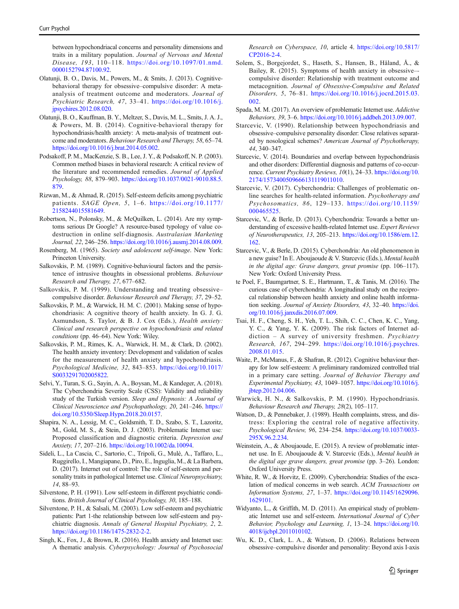<span id="page-10-0"></span>between hypochondriacal concerns and personality dimensions and traits in a military population. Journal of Nervous and Mental Disease, 193, 110–118. [https://doi.org/10.1097/01.nmd.](https://doi.org/10.1097/01.nmd.0000152794.87100.92) [0000152794.87100.92](https://doi.org/10.1097/01.nmd.0000152794.87100.92).

- Olatunji, B. O., Davis, M., Powers, M., & Smits, J. (2013). Cognitivebehavioral therapy for obsessive–compulsive disorder: A metaanalysis of treatment outcome and moderators. Journal of Psychiatric Research, 47, 33–41. [https://doi.org/10.1016/j.](https://doi.org/10.1016/j.jpsychires.2012.08.020) [jpsychires.2012.08.020](https://doi.org/10.1016/j.jpsychires.2012.08.020).
- Olatunji, B. O., Kauffman, B. Y., Meltzer, S., Davis, M. L., Smits, J. A. J., & Powers, M. B. (2014). Cognitive-behavioral therapy for hypochondriasis/health anxiety: A meta-analysis of treatment outcome and moderators. Behaviour Research and Therapy, 58, 65–74. [https://doi.org/10.1016/j.brat.2014.05.002.](https://doi.org/10.1016/j.brat.2014.05.002)
- Podsakoff, P. M., MacKenzie, S. B., Lee, J. Y., & Podsakoff, N. P. (2003). Common method biases in behavioral research: A critical review of the literature and recommended remedies. Journal of Applied Psychology, 88, 879–903. [https://doi.org/10.1037/0021-9010.88.5.](https://doi.org/10.1037/0021-9010.88.5.879) [879](https://doi.org/10.1037/0021-9010.88.5.879).
- Rizwan, M., & Ahmad, R. (2015). Self-esteem deficits among psychiatric patients. SAGE Open, 5, 1–6. [https://doi.org/10.1177/](https://doi.org/10.1177/2158244015581649) [2158244015581649](https://doi.org/10.1177/2158244015581649).
- Robertson, N., Polonsky, M., & McQuilken, L. (2014). Are my symptoms serious Dr Google? A resource-based typology of value codestruction in online self-diagnosis. Australasian Marketing Journal, 22, 246–256. <https://doi.org/10.1016/j.ausmj.2014.08.009>.
- Rosenberg, M. (1965). Society and adolescent self-image. New York: Princeton University.
- Salkovskis, P. M. (1989). Cognitive-behavioural factors and the persistence of intrusive thoughts in obsessional problems. Behaviour Research and Therapy, 27, 677–682.
- Salkovskis, P. M. (1999). Understanding and treating obsessive– compulsive disorder. Behaviour Research and Therapy, 37, 29–52.
- Salkovskis, P. M., & Warwick, H. M. C. (2001). Making sense of hypochondriasis: A cognitive theory of health anxiety. In G. J. G. Asmundson, S. Taylor, & B. J. Cox (Eds.), Health anxiety: Clinical and research perspective on hypochondriasis and related conditions (pp. 46–64). New York: Wiley.
- Salkovskis, P. M., Rimes, K. A., Warwick, H. M., & Clark, D. (2002). The health anxiety inventory: Development and validation of scales for the measurement of health anxiety and hypochondriasis. Psychological Medicine, 32, 843–853. [https://doi.org/10.1017/](https://doi.org/10.1017/S0033291702005822) [S0033291702005822.](https://doi.org/10.1017/S0033291702005822)
- Selvi, Y., Turan, S. G., Sayin, A. A., Boysan, M., & Kandeger, A. (2018). The Cyberchondria Severity Scale (CSS): Validity and reliability study of the Turkish version. Sleep and Hypnosis: A Journal of Clinical Neuroscience and Psychopathology, 20, 241–246. [https://](https://doi.org/10.5350/Sleep.Hypn.2018.20.0157) [doi.org/10.5350/Sleep.Hypn.2018.20.0157](https://doi.org/10.5350/Sleep.Hypn.2018.20.0157).
- Shapira, N. A., Lessig, M. C., Goldsmith, T. D., Szabo, S. T., Lazoritz, M., Gold, M. S., & Stein, D. J. (2003). Problematic Internet use: Proposed classification and diagnostic criteria. Depression and Anxiety, 17, 207–216. <https://doi.org/10.1002/da.10094>.
- Sideli, L., La Cascia, C., Sartorio, C., Tripoli, G., Mulè, A., Taffaro, L., Ruggirello, I., Mangiapane, D., Piro, E., Inguglia, M., & La Barbera, D. (2017). Internet out of control: The role of self-esteem and personality traits in pathological Internet use. Clinical Neuropsychiatry, 14, 88–93.
- Silverstone, P. H. (1991). Low self-esteem in different psychiatric conditions. British Journal of Clinical Psychology, 30, 185–188.
- Silverstone, P. H., & Salsali, M. (2003). Low self-esteem and psychiatric patients: Part 1-the relationship between low self-esteem and psychiatric diagnosis. Annals of General Hospital Psychiatry, 2, 2. [https://doi.org/10.1186/1475-2832-2-2.](https://doi.org/10.1186/1475-2832-2-2)
- Singh, K., Fox, J., & Brown, R. (2016). Health anxiety and Internet use: A thematic analysis. Cyberpsychology: Journal of Psychosocial

Research on Cyberspace, 10, article 4. [https://doi.org/10.5817/](https://doi.org/10.5817/CP2016-2-4) [CP2016-2-4](https://doi.org/10.5817/CP2016-2-4).

- Solem, S., Borgejordet, S., Haseth, S., Hansen, B., Håland, Å., & Bailey, R. (2015). Symptoms of health anxiety in obsessive– compulsive disorder: Relationship with treatment outcome and metacognition. Journal of Obsessive-Compulsive and Related Disorders, 5, 76–81. [https://doi.org/10.1016/j.jocrd.2015.03.](https://doi.org/10.1016/j.jocrd.2015.03.002) [002](https://doi.org/10.1016/j.jocrd.2015.03.002).
- Spada, M. M. (2017). An overview of problematic Internet use. Addictive Behaviors, 39, 3–6. <https://doi.org/10.1016/j.addbeh.2013.09.007>.
- Starcevic, V. (1990). Relationship between hypochondriasis and obsessive–compulsive personality disorder: Close relatives separated by nosological schemes? American Journal of Psychotherapy, 44, 340–347.
- Starcevic, V. (2014). Boundaries and overlap between hypochondriasis and other disorders: Differential diagnosis and patterns of co-occurrence. Current Psychiatry Reviews, 10(1), 24–33. [https://doi.org/10.](https://doi.org/10.2174/1573400509666131119011010) [2174/1573400509666131119011010](https://doi.org/10.2174/1573400509666131119011010).
- Starcevic, V. (2017). Cyberchondria: Challenges of problematic online searches for health-related information. Psychotherapy and Psychosomatics, 86, 129–133. [https://doi.org/10.1159/](https://doi.org/10.1159/000465525) [000465525](https://doi.org/10.1159/000465525).
- Starcevic, V., & Berle, D. (2013). Cyberchondria: Towards a better understanding of excessive health-related Internet use. Expert Reviews of Neurotherapeutics, 13, 205–213. [https://doi.org/10.1586/ern.12.](https://doi.org/10.1586/ern.12.162) [162.](https://doi.org/10.1586/ern.12.162)
- Starcevic, V., & Berle, D. (2015). Cyberchondria: An old phenomenon in a new guise? In E. Aboujaoude & V. Starcevic (Eds.), Mental health in the digital age: Grave dangers, great promise (pp. 106–117). New York: Oxford University Press.
- te Poel, F., Baumgartner, S. E., Hartmann, T., & Tanis, M. (2016). The curious case of cyberchondria: A longitudinal study on the reciprocal relationship between health anxiety and online health information seeking. Journal of Anxiety Disorders, 43, 32–40. [https://doi.](https://doi.org/10.1016/j.janxdis.2016.07.009) [org/10.1016/j.janxdis.2016.07.009](https://doi.org/10.1016/j.janxdis.2016.07.009).
- Tsai, H. F., Cheng, S. H., Yeh, T. L., Shih, C. C., Chen, K. C., Yang, Y. C., & Yang, Y. K. (2009). The risk factors of Internet addiction – A survey of university freshmen. Psychiatry Research, 167, 294–299. [https://doi.org/10.1016/j.psychres.](https://doi.org/10.1016/j.psychres.2008.01.015) [2008.01.015.](https://doi.org/10.1016/j.psychres.2008.01.015)
- Waite, P., McManus, F., & Shafran, R. (2012). Cognitive behaviour therapy for low self-esteem: A preliminary randomized controlled trial in a primary care setting. Journal of Behavior Therapy and Experimental Psychiatry, 43, 1049–1057. [https://doi.org/10.1016/j.](https://doi.org/10.1016/j.jbtep.2012.04.006) [jbtep.2012.04.006.](https://doi.org/10.1016/j.jbtep.2012.04.006)
- Warwick, H. N., & Salkovskis, P. M. (1990). Hypochondriasis. Behaviour Research and Therapy, 28(2), 105–117.
- Watson, D., & Pennebaker, J. (1989). Health complaints, stress, and distress: Exploring the central role of negative affectivity. Psychological Review, 96, 234–254. [https://doi.org/10.1037/0033-](https://doi.org/10.1037/0033-295X.96.2.234) [295X.96.2.234](https://doi.org/10.1037/0033-295X.96.2.234).
- Weinstein, A., & Aboujaoude, E. (2015). A review of problematic internet use. In E. Aboujaoude & V. Starcevic (Eds.), Mental health in the digital age grave dangers, great promise (pp. 3–26). London: Oxford University Press.
- White, R. W., & Horvitz, E. (2009). Cyberchondria: Studies of the escalation of medical concerns in web search. ACM Transactions on Information Systems, 27, 1–37. [https://doi.org/10.1145/1629096.](https://doi.org/10.1145/1629096.1629101) [1629101](https://doi.org/10.1145/1629096.1629101).
- Widyanto, L., & Griffith, M. D. (2011). An empirical study of problematic Internet use and self-esteem. International Journal of Cyber Behavior, Psychology and Learning, 1, 13-24. [https://doi.org/10.](https://doi.org/10.4018/ijcbpl.2011010102) [4018/ijcbpl.2011010102](https://doi.org/10.4018/ijcbpl.2011010102).
- Wu, K. D., Clark, L. A., & Watson, D. (2006). Relations between obsessive–compulsive disorder and personality: Beyond axis I-axis